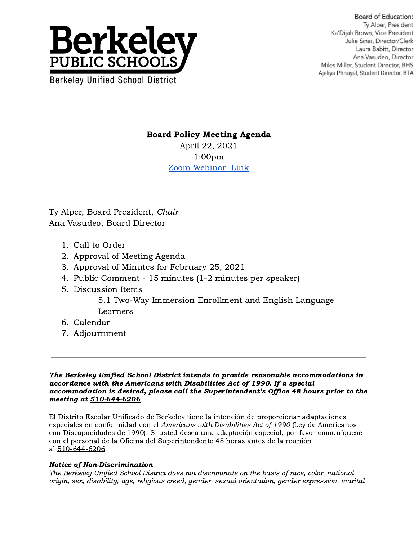

Board of Education: Tv Alper, President Ka'Dijah Brown, Vice President Julie Sinai, Director/Clerk Laura Babitt, Director Ana Vasudeo, Director Miles Miller, Student Director, BHS Ajeliya Phnuyal, Student Director, BTA

## Board Policy Meeting Agenda

April 22, 2021 1:00pm [Zoom Webinar Link](https://berkeley-net.zoom.us/j/89647406968?pwd=Um5DWHJMQnk2ZjZObWJlYTV3cTUzZz09)

Ty Alper, Board President, Chair Ana Vasudeo, Board Director

- 1. Call to Order
- 2. Approval of Meeting Agenda
- 3. Approval of Minutes for February 25, 2021
- 4. Public Comment 15 minutes (1-2 minutes per speaker)
- 5. Discussion Items

5.1 Two-Way Immersion Enrollment and English Language Learners

- 6. Calendar
- 7. Adjournment

The Berkeley Unified School District intends to provide reasonable accommodations in accordance with the Americans with Disabilities Act of 1990. If a special accommodation is desired, please call the Superintendent's Office 48 hours prior to the meeting at 510-644-6206

El Distrito Escolar Unificado de Berkeley tiene la intención de proporcionar adaptaciones especiales en conformidad con el Americans with Disabilities Act of 1990 (Ley de Americanos con Discapacidades de 1990). Si usted desea una adaptación especial, por favor comuníquese con el personal de la Oficina del Superintendente 48 horas antes de la reunión al 510-644-6206.

## Notice of Non-Discrimination

The Berkeley Unified School District does not discriminate on the basis of race, color, national origin, sex, disability, age, religious creed, gender, sexual orientation, gender expression, marital